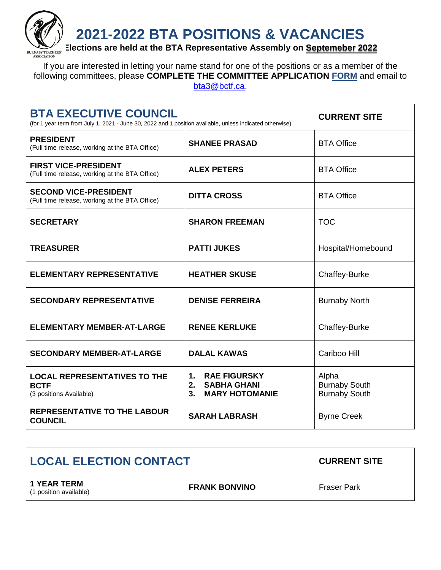**2021-2022 BTA POSITIONS & VACANCIES**



**EXENUEL ARGO BURGIST EXCHERS** Elections are held at the BTA Representative Assembly on **<u>Septemeber 2022</u>** 

If you are interested in letting your name stand for one of the positions or as a member of the following committees, please **COMPLETE THE COMMITTEE APPLICATION [FORM](https://www.burnabyteachers.com/wp-content/uploads/2017/11/Committee-Application-Form.pdf)** and email to [bta3@bctf.ca.](mailto:bta3@bctf.ca)

| <b>BTA EXECUTIVE COUNCIL</b><br>(for 1 year term from July 1, 2021 - June 30, 2022 and 1 position available, unless indicated otherwise) | <b>CURRENT SITE</b>                                                                              |                                                       |
|------------------------------------------------------------------------------------------------------------------------------------------|--------------------------------------------------------------------------------------------------|-------------------------------------------------------|
| <b>PRESIDENT</b><br>(Full time release, working at the BTA Office)                                                                       | <b>SHANEE PRASAD</b>                                                                             | <b>BTA Office</b>                                     |
| <b>FIRST VICE-PRESIDENT</b><br>(Full time release, working at the BTA Office)                                                            | <b>ALEX PETERS</b>                                                                               | <b>BTA Office</b>                                     |
| <b>SECOND VICE-PRESIDENT</b><br>(Full time release, working at the BTA Office)                                                           | <b>DITTA CROSS</b>                                                                               | <b>BTA Office</b>                                     |
| <b>SECRETARY</b>                                                                                                                         | <b>SHARON FREEMAN</b>                                                                            | <b>TOC</b>                                            |
| <b>TREASURER</b>                                                                                                                         | <b>PATTI JUKES</b>                                                                               | Hospital/Homebound                                    |
| <b>ELEMENTARY REPRESENTATIVE</b>                                                                                                         | <b>HEATHER SKUSE</b>                                                                             | <b>Chaffey-Burke</b>                                  |
| <b>SECONDARY REPRESENTATIVE</b>                                                                                                          | <b>DENISE FERREIRA</b>                                                                           | <b>Burnaby North</b>                                  |
| <b>ELEMENTARY MEMBER-AT-LARGE</b>                                                                                                        | <b>RENEE KERLUKE</b>                                                                             | Chaffey-Burke                                         |
| <b>SECONDARY MEMBER-AT-LARGE</b>                                                                                                         | <b>DALAL KAWAS</b>                                                                               | Cariboo Hill                                          |
| <b>LOCAL REPRESENTATIVES TO THE</b><br><b>BCTF</b><br>(3 positions Available)                                                            | <b>RAE FIGURSKY</b><br>1.<br><b>SABHA GHANI</b><br>2.<br><b>MARY HOTOMANIE</b><br>3 <sub>1</sub> | Alpha<br><b>Burnaby South</b><br><b>Burnaby South</b> |
| <b>REPRESENTATIVE TO THE LABOUR</b><br><b>COUNCIL</b>                                                                                    | <b>SARAH LABRASH</b>                                                                             | <b>Byrne Creek</b>                                    |

| <b>LOCAL ELECTION CONTACT</b>                |                      | <b>CURRENT SITE</b> |
|----------------------------------------------|----------------------|---------------------|
| <b>1 YEAR TERM</b><br>(1 position available) | <b>FRANK BONVINO</b> | <b>Fraser Park</b>  |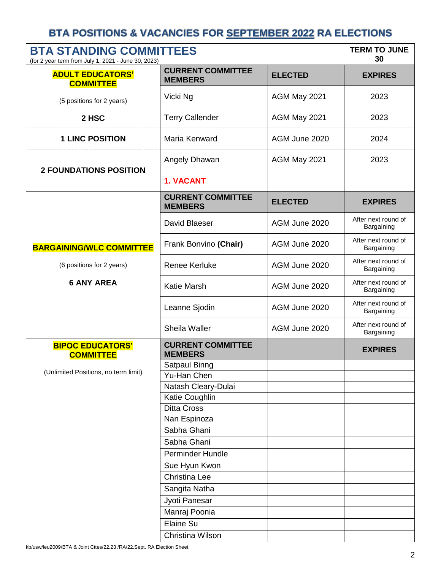| <b>BTA STANDING COMMITTEES</b><br>(for 2 year term from July 1, 2021 - June 30, 2023) |                                            |                | <b>TERM TO JUNE</b><br>30         |
|---------------------------------------------------------------------------------------|--------------------------------------------|----------------|-----------------------------------|
| <b>ADULT EDUCATORS'</b><br><b>COMMITTEE</b>                                           | <b>CURRENT COMMITTEE</b><br><b>MEMBERS</b> | <b>ELECTED</b> | <b>EXPIRES</b>                    |
| (5 positions for 2 years)                                                             | Vicki Ng                                   | AGM May 2021   | 2023                              |
| 2 HSC                                                                                 | <b>Terry Callender</b>                     | AGM May 2021   | 2023                              |
| <b>1 LINC POSITION</b>                                                                | Maria Kenward                              | AGM June 2020  | 2024                              |
| <b>2 FOUNDATIONS POSITION</b>                                                         | Angely Dhawan                              | AGM May 2021   | 2023                              |
|                                                                                       | 1. VACANT                                  |                |                                   |
|                                                                                       | <b>CURRENT COMMITTEE</b><br><b>MEMBERS</b> | <b>ELECTED</b> | <b>EXPIRES</b>                    |
|                                                                                       | David Blaeser                              | AGM June 2020  | After next round of<br>Bargaining |
| <b>BARGAINING/WLC COMMITTEE</b>                                                       | Frank Bonvino (Chair)                      | AGM June 2020  | After next round of<br>Bargaining |
| (6 positions for 2 years)                                                             | <b>Renee Kerluke</b>                       | AGM June 2020  | After next round of<br>Bargaining |
| <b>6 ANY AREA</b>                                                                     | Katie Marsh                                | AGM June 2020  | After next round of<br>Bargaining |
|                                                                                       | Leanne Sjodin                              | AGM June 2020  | After next round of<br>Bargaining |
|                                                                                       | Sheila Waller                              | AGM June 2020  | After next round of<br>Bargaining |
| <b>BIPOC EDUCATORS'</b><br><b>COMMITTEE</b>                                           | <b>CURRENT COMMITTEE</b><br><b>MEMBERS</b> |                | <b>EXPIRES</b>                    |
| (Unlimited Positions, no term limit)                                                  | Satpaul Binng                              |                |                                   |
|                                                                                       | Yu-Han Chen                                |                |                                   |
|                                                                                       | Natash Cleary-Dulai                        |                |                                   |
|                                                                                       | Katie Coughlin                             |                |                                   |
|                                                                                       | <b>Ditta Cross</b>                         |                |                                   |
|                                                                                       | Nan Espinoza<br>Sabha Ghani                |                |                                   |
|                                                                                       | Sabha Ghani                                |                |                                   |
|                                                                                       | <b>Perminder Hundle</b>                    |                |                                   |
|                                                                                       | Sue Hyun Kwon                              |                |                                   |
|                                                                                       | Christina Lee                              |                |                                   |
|                                                                                       | Sangita Natha                              |                |                                   |
|                                                                                       | Jyoti Panesar                              |                |                                   |
|                                                                                       | Manraj Poonia                              |                |                                   |
|                                                                                       | Elaine Su                                  |                |                                   |
|                                                                                       | Christina Wilson                           |                |                                   |
|                                                                                       |                                            |                |                                   |

kb/usw/leu2009/BTA & Joint Cttes/22.23 /RA/22.Sept. RA Election Sheet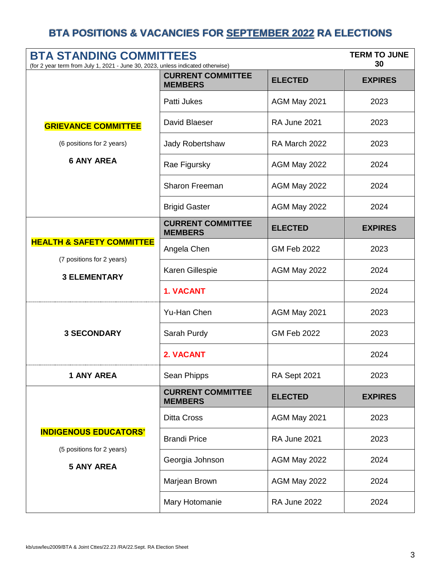| <b>BTA STANDING COMMITTEES</b><br>(for 2 year term from July 1, 2021 - June 30, 2023, unless indicated otherwise) |                                            |                     | <b>TERM TO JUNE</b><br>30 |
|-------------------------------------------------------------------------------------------------------------------|--------------------------------------------|---------------------|---------------------------|
|                                                                                                                   | <b>CURRENT COMMITTEE</b><br><b>MEMBERS</b> | <b>ELECTED</b>      | <b>EXPIRES</b>            |
|                                                                                                                   | Patti Jukes                                | AGM May 2021        | 2023                      |
| <b>GRIEVANCE COMMITTEE</b>                                                                                        | David Blaeser                              | <b>RA June 2021</b> | 2023                      |
| (6 positions for 2 years)                                                                                         | Jady Robertshaw                            | RA March 2022       | 2023                      |
| <b>6 ANY AREA</b>                                                                                                 | Rae Figursky                               | AGM May 2022        | 2024                      |
|                                                                                                                   | <b>Sharon Freeman</b>                      | AGM May 2022        | 2024                      |
|                                                                                                                   | <b>Brigid Gaster</b>                       | AGM May 2022        | 2024                      |
|                                                                                                                   | <b>CURRENT COMMITTEE</b><br><b>MEMBERS</b> | <b>ELECTED</b>      | <b>EXPIRES</b>            |
| <b>HEALTH &amp; SAFETY COMMITTEE</b><br>(7 positions for 2 years)                                                 | Angela Chen                                | <b>GM Feb 2022</b>  | 2023                      |
| <b>3 ELEMENTARY</b>                                                                                               | Karen Gillespie                            | AGM May 2022        | 2024                      |
|                                                                                                                   | 1. VACANT                                  |                     | 2024                      |
|                                                                                                                   | Yu-Han Chen                                | AGM May 2021        | 2023                      |
| <b>3 SECONDARY</b>                                                                                                | Sarah Purdy                                | <b>GM Feb 2022</b>  | 2023                      |
|                                                                                                                   | 2. VACANT                                  |                     | 2024                      |
| <b>1 ANY AREA</b>                                                                                                 | Sean Phipps                                | RA Sept 2021        | 2023                      |
|                                                                                                                   | <b>CURRENT COMMITTEE</b><br><b>MEMBERS</b> | <b>ELECTED</b>      | <b>EXPIRES</b>            |
|                                                                                                                   | <b>Ditta Cross</b>                         | AGM May 2021        | 2023                      |
| <b>INDIGENOUS EDUCATORS'</b><br>(5 positions for 2 years)<br><b>5 ANY AREA</b>                                    | <b>Brandi Price</b>                        | <b>RA June 2021</b> | 2023                      |
|                                                                                                                   | Georgia Johnson                            | AGM May 2022        | 2024                      |
|                                                                                                                   | Marjean Brown                              | AGM May 2022        | 2024                      |
|                                                                                                                   | Mary Hotomanie                             | RA June 2022        | 2024                      |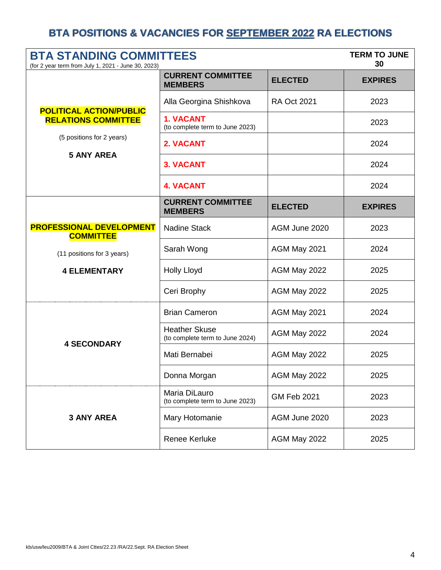| <b>BTA STANDING COMMITTEES</b><br>(for 2 year term from July 1, 2021 - June 30, 2023) |                                                         |                    | <b>TERM TO JUNE</b><br>30 |
|---------------------------------------------------------------------------------------|---------------------------------------------------------|--------------------|---------------------------|
|                                                                                       | <b>CURRENT COMMITTEE</b><br><b>MEMBERS</b>              | <b>ELECTED</b>     | <b>EXPIRES</b>            |
| <b>POLITICAL ACTION/PUBLIC</b>                                                        | Alla Georgina Shishkova                                 | <b>RA Oct 2021</b> | 2023                      |
| <b>RELATIONS COMMITTEE</b>                                                            | <b>1. VACANT</b><br>(to complete term to June 2023)     |                    | 2023                      |
| (5 positions for 2 years)<br><b>5 ANY AREA</b>                                        | 2. VACANT                                               |                    | 2024                      |
|                                                                                       | <b>3. VACANT</b>                                        |                    | 2024                      |
|                                                                                       | <b>4. VACANT</b>                                        |                    | 2024                      |
|                                                                                       | <b>CURRENT COMMITTEE</b><br><b>MEMBERS</b>              | <b>ELECTED</b>     | <b>EXPIRES</b>            |
| <b>PROFESSIONAL DEVELOPMENT</b><br><b>COMMITTEE</b>                                   | <b>Nadine Stack</b>                                     | AGM June 2020      | 2023                      |
| (11 positions for 3 years)                                                            | Sarah Wong                                              | AGM May 2021       | 2024                      |
| <b>4 ELEMENTARY</b>                                                                   | <b>Holly Lloyd</b>                                      | AGM May 2022       | 2025                      |
|                                                                                       | Ceri Brophy                                             | AGM May 2022       | 2025                      |
|                                                                                       | <b>Brian Cameron</b>                                    | AGM May 2021       | 2024                      |
| <b>4 SECONDARY</b>                                                                    | <b>Heather Skuse</b><br>(to complete term to June 2024) | AGM May 2022       | 2024                      |
|                                                                                       | Mati Bernabei                                           | AGM May 2022       | 2025                      |
|                                                                                       | Donna Morgan                                            | AGM May 2022       | 2025                      |
|                                                                                       | Maria DiLauro<br>(to complete term to June 2023)        | <b>GM Feb 2021</b> | 2023                      |
| <b>3 ANY AREA</b>                                                                     | Mary Hotomanie                                          | AGM June 2020      | 2023                      |
|                                                                                       | <b>Renee Kerluke</b>                                    | AGM May 2022       | 2025                      |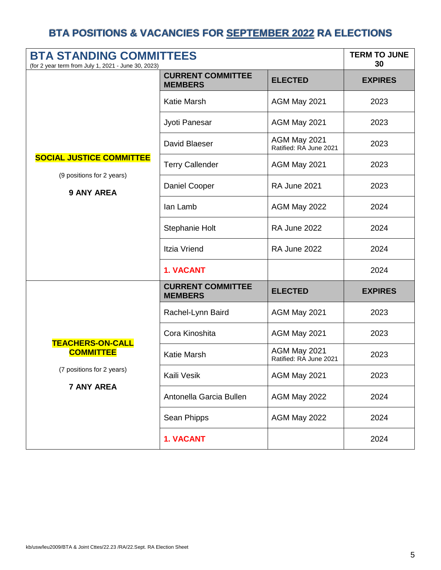| <b>BTA STANDING COMMITTEES</b><br>(for 2 year term from July 1, 2021 - June 30, 2023) |                                            |                                        | <b>TERM TO JUNE</b><br>30 |
|---------------------------------------------------------------------------------------|--------------------------------------------|----------------------------------------|---------------------------|
|                                                                                       | <b>CURRENT COMMITTEE</b><br><b>MEMBERS</b> | <b>ELECTED</b>                         | <b>EXPIRES</b>            |
|                                                                                       | <b>Katie Marsh</b>                         | AGM May 2021                           | 2023                      |
|                                                                                       | Jyoti Panesar                              | AGM May 2021                           | 2023                      |
|                                                                                       | David Blaeser                              | AGM May 2021<br>Ratified: RA June 2021 | 2023                      |
| <b>SOCIAL JUSTICE COMMITTEE</b><br>(9 positions for 2 years)                          | <b>Terry Callender</b>                     | AGM May 2021                           | 2023                      |
| <b>9 ANY AREA</b>                                                                     | Daniel Cooper                              | <b>RA June 2021</b>                    | 2023                      |
|                                                                                       | lan Lamb                                   | AGM May 2022                           | 2024                      |
|                                                                                       | Stephanie Holt                             | <b>RA June 2022</b>                    | 2024                      |
|                                                                                       | <b>Itzia Vriend</b>                        | <b>RA June 2022</b>                    | 2024                      |
|                                                                                       | 1. VACANT                                  |                                        | 2024                      |
|                                                                                       | <b>CURRENT COMMITTEE</b><br><b>MEMBERS</b> | <b>ELECTED</b>                         | <b>EXPIRES</b>            |
|                                                                                       | Rachel-Lynn Baird                          | AGM May 2021                           | 2023                      |
| <b>TEACHERS-ON-CALL</b>                                                               | Cora Kinoshita                             | AGM May 2021                           | 2023                      |
| <b>COMMITTEE</b><br>(7 positions for 2 years)<br><b>7 ANY AREA</b>                    | <b>Katie Marsh</b>                         | AGM May 2021<br>Ratified: RA June 2021 | 2023                      |
|                                                                                       | Kaili Vesik                                | AGM May 2021                           | 2023                      |
|                                                                                       | Antonella Garcia Bullen                    | AGM May 2022                           | 2024                      |
|                                                                                       | Sean Phipps                                | AGM May 2022                           | 2024                      |
|                                                                                       | 1. VACANT                                  |                                        | 2024                      |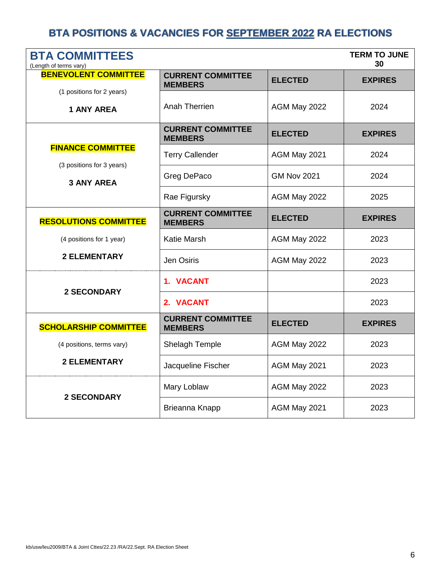| <b>BTA COMMITTEES</b><br>(Length of terms vary) |                                            |                    | <b>TERM TO JUNE</b><br>30 |
|-------------------------------------------------|--------------------------------------------|--------------------|---------------------------|
| <b>BENEVOLENT COMMITTEE</b>                     | <b>CURRENT COMMITTEE</b><br><b>MEMBERS</b> | <b>ELECTED</b>     | <b>EXPIRES</b>            |
| (1 positions for 2 years)<br><b>1 ANY AREA</b>  | <b>Anah Therrien</b>                       | AGM May 2022       | 2024                      |
|                                                 | <b>CURRENT COMMITTEE</b><br><b>MEMBERS</b> | <b>ELECTED</b>     | <b>EXPIRES</b>            |
| <b>FINANCE COMMITTEE</b>                        | <b>Terry Callender</b>                     | AGM May 2021       | 2024                      |
| (3 positions for 3 years)<br><b>3 ANY AREA</b>  | Greg DePaco                                | <b>GM Nov 2021</b> | 2024                      |
|                                                 | Rae Figursky                               | AGM May 2022       | 2025                      |
| <b>RESOLUTIONS COMMITTEE</b>                    | <b>CURRENT COMMITTEE</b><br><b>MEMBERS</b> | <b>ELECTED</b>     | <b>EXPIRES</b>            |
| (4 positions for 1 year)                        | <b>Katie Marsh</b>                         | AGM May 2022       | 2023                      |
| <b>2 ELEMENTARY</b>                             | Jen Osiris                                 | AGM May 2022       | 2023                      |
| <b>2 SECONDARY</b>                              | 1. VACANT                                  |                    | 2023                      |
|                                                 | 2. VACANT                                  |                    | 2023                      |
| <b>SCHOLARSHIP COMMITTEE</b>                    | <b>CURRENT COMMITTEE</b><br><b>MEMBERS</b> | <b>ELECTED</b>     | <b>EXPIRES</b>            |
| (4 positions, terms vary)                       | Shelagh Temple                             | AGM May 2022       | 2023                      |
| <b>2 ELEMENTARY</b>                             | Jacqueline Fischer                         | AGM May 2021       | 2023                      |
| <b>2 SECONDARY</b>                              | Mary Loblaw                                | AGM May 2022       | 2023                      |
|                                                 | Brieanna Knapp                             | AGM May 2021       | 2023                      |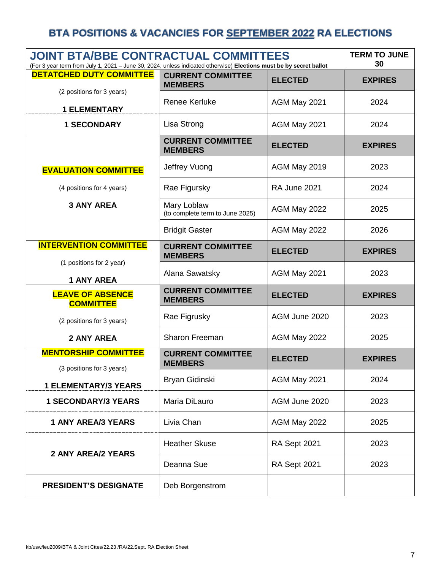| <b>JOINT BTA/BBE CONTRACTUAL COMMITTEES</b><br>(For 3 year term from July 1, 2021 - June 30, 2024, unless indicated otherwise) Elections must be by secret ballot |                                                |                     | <b>TERM TO JUNE</b><br>30 |
|-------------------------------------------------------------------------------------------------------------------------------------------------------------------|------------------------------------------------|---------------------|---------------------------|
| <b>DETATCHED DUTY COMMITTEE</b>                                                                                                                                   | <b>CURRENT COMMITTEE</b><br><b>MEMBERS</b>     | <b>ELECTED</b>      | <b>EXPIRES</b>            |
| (2 positions for 3 years)<br><b>1 ELEMENTARY</b>                                                                                                                  | <b>Renee Kerluke</b>                           | AGM May 2021        | 2024                      |
| <b>1 SECONDARY</b>                                                                                                                                                | Lisa Strong                                    | AGM May 2021        | 2024                      |
|                                                                                                                                                                   | <b>CURRENT COMMITTEE</b><br><b>MEMBERS</b>     | <b>ELECTED</b>      | <b>EXPIRES</b>            |
| <b>EVALUATION COMMITTEE</b>                                                                                                                                       | Jeffrey Vuong                                  | AGM May 2019        | 2023                      |
| (4 positions for 4 years)                                                                                                                                         | Rae Figursky                                   | <b>RA June 2021</b> | 2024                      |
| <b>3 ANY AREA</b>                                                                                                                                                 | Mary Loblaw<br>(to complete term to June 2025) | AGM May 2022        | 2025                      |
|                                                                                                                                                                   | <b>Bridgit Gaster</b>                          | AGM May 2022        | 2026                      |
| <b>INTERVENTION COMMITTEE</b>                                                                                                                                     | <b>CURRENT COMMITTEE</b><br><b>MEMBERS</b>     | <b>ELECTED</b>      | <b>EXPIRES</b>            |
| (1 positions for 2 year)<br><b>1 ANY AREA</b>                                                                                                                     | Alana Sawatsky                                 | AGM May 2021        | 2023                      |
| <b>LEAVE OF ABSENCE</b><br><b>COMMITTEE</b>                                                                                                                       | <b>CURRENT COMMITTEE</b><br><b>MEMBERS</b>     | <b>ELECTED</b>      | <b>EXPIRES</b>            |
| (2 positions for 3 years)                                                                                                                                         | Rae Figrusky                                   | AGM June 2020       | 2023                      |
| 2 ANY AREA                                                                                                                                                        | Sharon Freeman                                 | AGM May 2022        | 2025                      |
| <b>MENTORSHIP COMMITTEE</b>                                                                                                                                       | <b>CURRENT COMMITTEE</b><br><b>MEMBERS</b>     | <b>ELECTED</b>      | <b>EXPIRES</b>            |
| (3 positions for 3 years)<br><b>1 ELEMENTARY/3 YEARS</b>                                                                                                          | Bryan Gidinski                                 | AGM May 2021        | 2024                      |
| <b>1 SECONDARY/3 YEARS</b>                                                                                                                                        | Maria DiLauro                                  | AGM June 2020       | 2023                      |
| <b>1 ANY AREA/3 YEARS</b>                                                                                                                                         | Livia Chan                                     | AGM May 2022        | 2025                      |
|                                                                                                                                                                   | <b>Heather Skuse</b>                           | RA Sept 2021        | 2023                      |
| <b>2 ANY AREA/2 YEARS</b>                                                                                                                                         | Deanna Sue                                     | RA Sept 2021        | 2023                      |
| <b>PRESIDENT'S DESIGNATE</b>                                                                                                                                      | Deb Borgenstrom                                |                     |                           |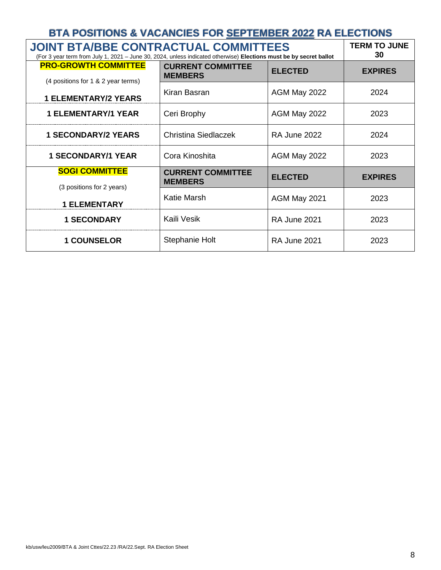| BTA POSITIONS & VACANCIES FOR SEPTEMBER 2022 RA ELECTIONS                                                                                                         |                                            |                     |                           |
|-------------------------------------------------------------------------------------------------------------------------------------------------------------------|--------------------------------------------|---------------------|---------------------------|
| <b>JOINT BTA/BBE CONTRACTUAL COMMITTEES</b><br>(For 3 year term from July 1, 2021 - June 30, 2024, unless indicated otherwise) Elections must be by secret ballot |                                            |                     | <b>TERM TO JUNE</b><br>30 |
| <b>PRO-GROWTH COMMITTEE</b><br>(4 positions for 1 & 2 year terms)                                                                                                 | <b>CURRENT COMMITTEE</b><br><b>MEMBERS</b> | <b>ELECTED</b>      | <b>EXPIRES</b>            |
| <b>1 ELEMENTARY/2 YEARS</b>                                                                                                                                       | Kiran Basran                               | AGM May 2022        | 2024                      |
| <b>1 ELEMENTARY/1 YEAR</b>                                                                                                                                        | Ceri Brophy                                | AGM May 2022        | 2023                      |
| <b>1 SECONDARY/2 YEARS</b>                                                                                                                                        | Christina Siedlaczek                       | <b>RA June 2022</b> | 2024                      |
| <b>1 SECONDARY/1 YEAR</b>                                                                                                                                         | Cora Kinoshita                             | AGM May 2022        | 2023                      |
| <b>SOGI COMMITTEE</b><br>(3 positions for 2 years)                                                                                                                | <b>CURRENT COMMITTEE</b><br><b>MEMBERS</b> | <b>ELECTED</b>      | <b>EXPIRES</b>            |
| <b>1 ELEMENTARY</b>                                                                                                                                               | <b>Katie Marsh</b>                         | AGM May 2021        | 2023                      |
| <b>1 SECONDARY</b>                                                                                                                                                | Kaili Vesik                                | <b>RA June 2021</b> | 2023                      |
| <b>1 COUNSELOR</b>                                                                                                                                                | <b>Stephanie Holt</b>                      | <b>RA June 2021</b> | 2023                      |